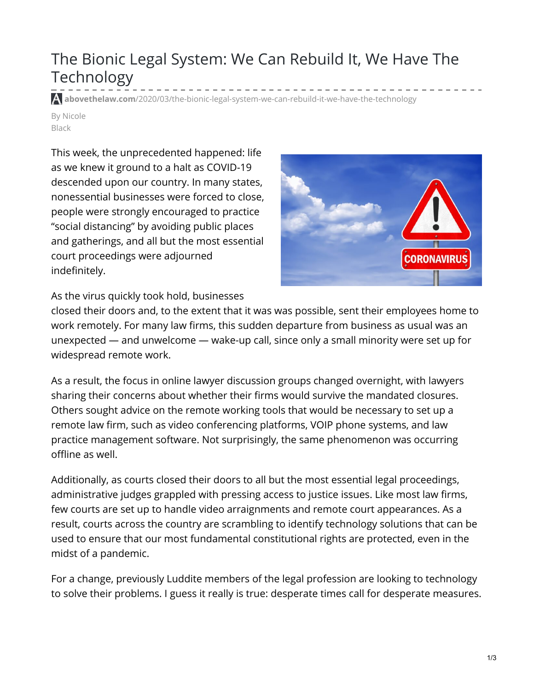## The Bionic Legal System: We Can Rebuild It, We Have The Technology

**abovethelaw.com**[/2020/03/the-bionic-legal-system-we-can-rebuild-it-we-have-the-technology](https://abovethelaw.com/2020/03/the-bionic-legal-system-we-can-rebuild-it-we-have-the-technology/)

By Nicole Black

This week, the unprecedented happened: life as we knew it ground to a halt as COVID-19 descended upon our country. In many states, nonessential businesses were forced to close, people were strongly encouraged to practice "social distancing" by avoiding public places and gatherings, and all but the most essential court proceedings were adjourned indefinitely.



As the virus quickly took hold, businesses

closed their doors and, to the extent that it was was possible, sent their employees home to work remotely. For many law firms, this sudden departure from business as usual was an unexpected — and unwelcome — wake-up call, since only a small minority were set up for widespread remote work.

As a result, the focus in online lawyer discussion groups changed overnight, with lawyers sharing their concerns about whether their firms would survive the mandated closures. Others sought advice on the remote working tools that would be necessary to set up a remote law firm, such as video conferencing platforms, VOIP phone systems, and law practice management software. Not surprisingly, the same phenomenon was occurring offline as well.

Additionally, as courts closed their doors to all but the most essential legal proceedings, administrative judges grappled with pressing access to justice issues. Like most law firms, few courts are set up to handle video arraignments and remote court appearances. As a result, courts across the country are scrambling to identify technology solutions that can be used to ensure that our most fundamental constitutional rights are protected, even in the midst of a pandemic.

For a change, previously Luddite members of the legal profession are looking to technology to solve their problems. I guess it really is true: desperate times call for desperate measures.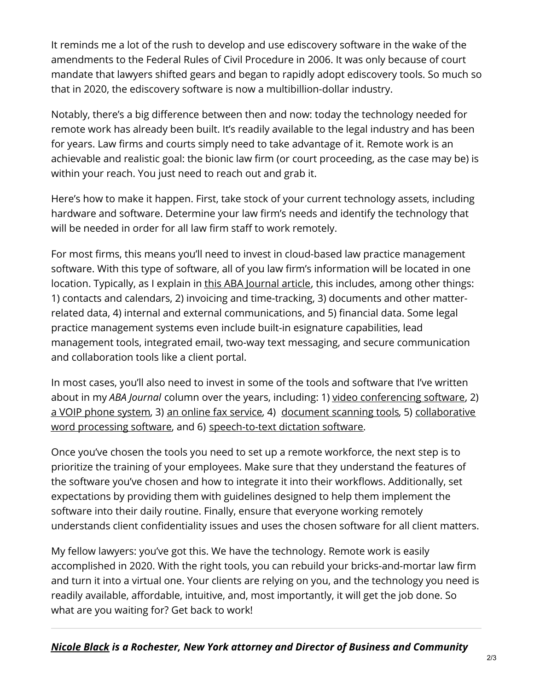It reminds me a lot of the rush to develop and use ediscovery software in the wake of the amendments to the Federal Rules of Civil Procedure in 2006. It was only because of court mandate that lawyers shifted gears and began to rapidly adopt ediscovery tools. So much so that in 2020, the ediscovery software is now a multibillion-dollar industry.

Notably, there's a big difference between then and now: today the technology needed for remote work has already been built. It's readily available to the legal industry and has been for years. Law firms and courts simply need to take advantage of it. Remote work is an achievable and realistic goal: the bionic law firm (or court proceeding, as the case may be) is within your reach. You just need to reach out and grab it.

Here's how to make it happen. First, take stock of your current technology assets, including hardware and software. Determine your law firm's needs and identify the technology that will be needed in order for all law firm staff to work remotely.

For most firms, this means you'll need to invest in cloud-based law practice management software. With this type of software, all of you law firm's information will be located in one location. Typically, as I explain in this ABA [Journal](https://www.abajournal.com/news/article/the-ins-and-outs-of-law-practice-management-software) article, this includes, among other things: 1) contacts and calendars, 2) invoicing and time-tracking, 3) documents and other matterrelated data, 4) internal and external communications, and 5) financial data. Some legal practice management systems even include built-in esignature capabilities, lead management tools, integrated email, two-way text messaging, and secure communication and collaboration tools like a client portal.

In most cases, you'll also need to invest in some of the tools and software that I've written about in my *ABA Journal* column over the years, including: 1) video [conferencing](https://www.abajournal.com/web/article/top-video-conferencing-tools-for-lawyers) software, 2) a VOIP phone [system](https://www.abajournal.com/news/article/voip-phone-systems-for-law-firms-all-you-need-to-know), 3) an online fax [service](https://www.abajournal.com/news/article/the-facts-about-the-21st-century-fax), 4) [document](https://www.abajournal.com/news/article/move-to-a-paperless-law-firm-with-these-scanning-tools) scanning tools, 5) collaborative word processing software, and 6) [speech-to-text](https://www.abajournal.com/news/article/21st-century-word-processing-tools-for-lawyers) dictation software.

Once you've chosen the tools you need to set up a remote workforce, the next step is to prioritize the training of your employees. Make sure that they understand the features of the software you've chosen and how to integrate it into their workflows. Additionally, set expectations by providing them with guidelines designed to help them implement the software into their daily routine. Finally, ensure that everyone working remotely understands client confidentiality issues and uses the chosen software for all client matters.

My fellow lawyers: you've got this. We have the technology. Remote work is easily accomplished in 2020. With the right tools, you can rebuild your bricks-and-mortar law firm and turn it into a virtual one. Your clients are relying on you, and the technology you need is readily available, affordable, intuitive, and, most importantly, it will get the job done. So what are you waiting for? Get back to work!